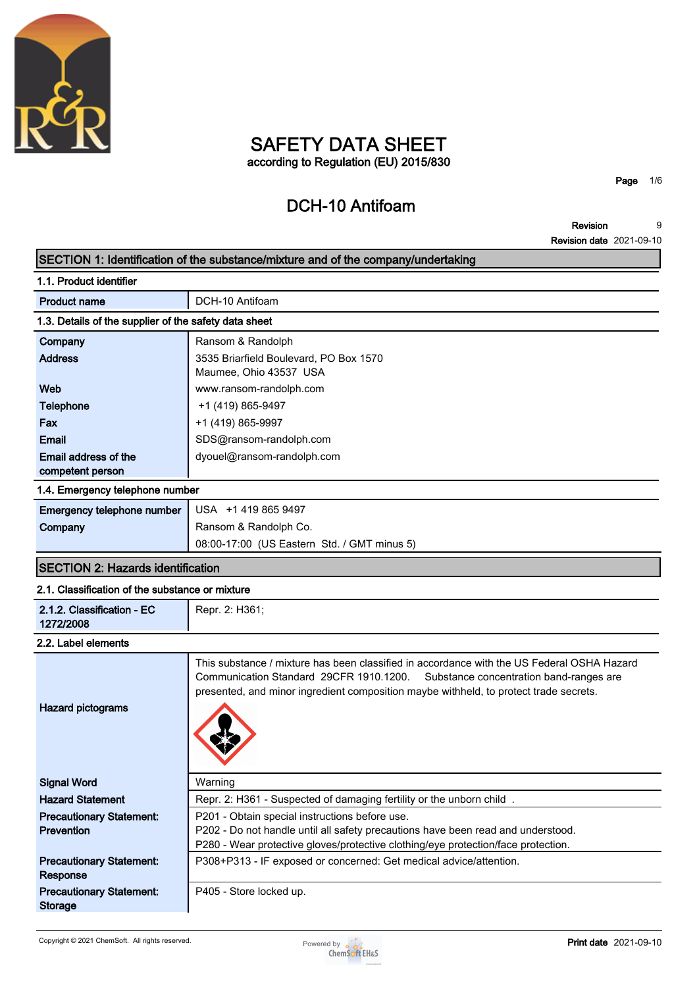

## **SAFETY DATA SHEET according to Regulation (EU) 2015/830**

# **DCH-10 Antifoam**

**Page 1/6**

**Revision Revision date 2021-09-10 9**

|                                                       | SECTION 1: Identification of the substance/mixture and of the company/undertaking                                                                                                                                                                                         |
|-------------------------------------------------------|---------------------------------------------------------------------------------------------------------------------------------------------------------------------------------------------------------------------------------------------------------------------------|
| 1.1. Product identifier                               |                                                                                                                                                                                                                                                                           |
| <b>Product name</b>                                   | DCH-10 Antifoam                                                                                                                                                                                                                                                           |
| 1.3. Details of the supplier of the safety data sheet |                                                                                                                                                                                                                                                                           |
| Company                                               | Ransom & Randolph                                                                                                                                                                                                                                                         |
| <b>Address</b>                                        | 3535 Briarfield Boulevard, PO Box 1570                                                                                                                                                                                                                                    |
|                                                       | Maumee, Ohio 43537 USA                                                                                                                                                                                                                                                    |
| Web                                                   | www.ransom-randolph.com                                                                                                                                                                                                                                                   |
| <b>Telephone</b>                                      | +1 (419) 865-9497                                                                                                                                                                                                                                                         |
| Fax                                                   | +1 (419) 865-9997                                                                                                                                                                                                                                                         |
| <b>Email</b>                                          | SDS@ransom-randolph.com                                                                                                                                                                                                                                                   |
| Email address of the                                  | dyouel@ransom-randolph.com                                                                                                                                                                                                                                                |
| competent person                                      |                                                                                                                                                                                                                                                                           |
| 1.4. Emergency telephone number                       |                                                                                                                                                                                                                                                                           |
| Emergency telephone number                            | USA +1 419 865 9497                                                                                                                                                                                                                                                       |
| Company                                               | Ransom & Randolph Co.                                                                                                                                                                                                                                                     |
|                                                       | 08:00-17:00 (US Eastern Std. / GMT minus 5)                                                                                                                                                                                                                               |
| <b>SECTION 2: Hazards identification</b>              |                                                                                                                                                                                                                                                                           |
| 2.1. Classification of the substance or mixture       |                                                                                                                                                                                                                                                                           |
| 2.1.2. Classification - EC<br>1272/2008               | Repr. 2: H361;                                                                                                                                                                                                                                                            |
| 2.2. Label elements                                   |                                                                                                                                                                                                                                                                           |
| <b>Hazard pictograms</b>                              | This substance / mixture has been classified in accordance with the US Federal OSHA Hazard<br>Communication Standard 29CFR 1910.1200.<br>Substance concentration band-ranges are<br>presented, and minor ingredient composition maybe withheld, to protect trade secrets. |
| <b>Signal Word</b>                                    | Warning                                                                                                                                                                                                                                                                   |
| <b>Hazard Statement</b>                               | Repr. 2: H361 - Suspected of damaging fertility or the unborn child.                                                                                                                                                                                                      |
| <b>Precautionary Statement:</b>                       | P201 - Obtain special instructions before use.                                                                                                                                                                                                                            |
| Prevention                                            | P202 - Do not handle until all safety precautions have been read and understood.                                                                                                                                                                                          |
|                                                       | P280 - Wear protective gloves/protective clothing/eye protection/face protection.                                                                                                                                                                                         |
| <b>Precautionary Statement:</b><br>Response           | P308+P313 - IF exposed or concerned: Get medical advice/attention.                                                                                                                                                                                                        |
| <b>Precautionary Statement:</b><br><b>Storage</b>     | P405 - Store locked up.                                                                                                                                                                                                                                                   |

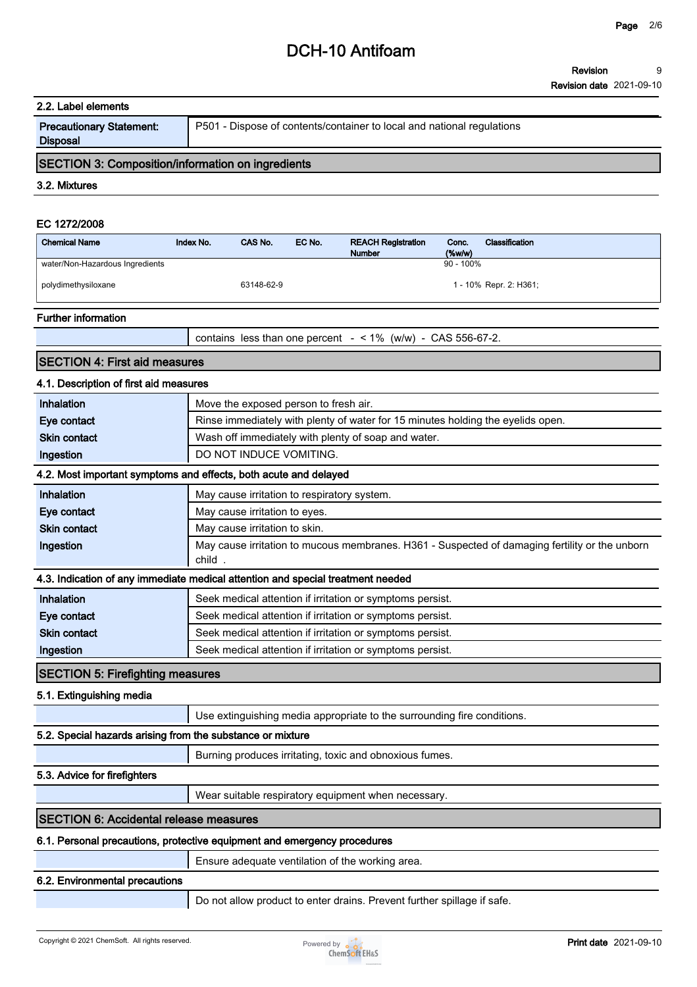## **DCH-10 Antifoam**

| 2.2. Label elements                                      |           |            |        |                                                                        |                    |                        |  |
|----------------------------------------------------------|-----------|------------|--------|------------------------------------------------------------------------|--------------------|------------------------|--|
| <b>Precautionary Statement:</b><br><b>Disposal</b>       |           |            |        | P501 - Dispose of contents/container to local and national regulations |                    |                        |  |
| <b>SECTION 3: Composition/information on ingredients</b> |           |            |        |                                                                        |                    |                        |  |
| 3.2. Mixtures                                            |           |            |        |                                                                        |                    |                        |  |
| EC 1272/2008                                             |           |            |        |                                                                        |                    |                        |  |
| <b>Chemical Name</b>                                     | Index No. | CAS No.    | EC No. | <b>REACH Registration</b><br><b>Number</b>                             | Conc.<br>$(\%w/w)$ | Classification         |  |
| water/Non-Hazardous Ingredients                          |           |            |        |                                                                        | $90 - 100\%$       |                        |  |
| polydimethysiloxane                                      |           | 63148-62-9 |        |                                                                        |                    | 1 - 10% Repr. 2: H361; |  |

### **Further information**

**contains less than one percent - < 1% (w/w) - CAS 556-67-2.**

### **SECTION 4: First aid measures**

### **4.1. Description of first aid measures**

| Inhalation                                                 | Move the exposed person to fresh air.                                                                    |
|------------------------------------------------------------|----------------------------------------------------------------------------------------------------------|
| Eye contact                                                | Rinse immediately with plenty of water for 15 minutes holding the eyelids open.                          |
| <b>Skin contact</b>                                        | Wash off immediately with plenty of soap and water.                                                      |
| Ingestion                                                  | DO NOT INDUCE VOMITING.                                                                                  |
|                                                            | 4.2. Most important symptoms and effects, both acute and delayed                                         |
| Inhalation                                                 | May cause irritation to respiratory system.                                                              |
| Eye contact                                                | May cause irritation to eyes.                                                                            |
| <b>Skin contact</b>                                        | May cause irritation to skin.                                                                            |
| Ingestion                                                  | May cause irritation to mucous membranes. H361 - Suspected of damaging fertility or the unborn<br>child. |
|                                                            | 4.3. Indication of any immediate medical attention and special treatment needed                          |
| Inhalation                                                 | Seek medical attention if irritation or symptoms persist.                                                |
| Eye contact                                                | Seek medical attention if irritation or symptoms persist.                                                |
| <b>Skin contact</b>                                        | Seek medical attention if irritation or symptoms persist.                                                |
| Ingestion                                                  | Seek medical attention if irritation or symptoms persist.                                                |
| <b>SECTION 5: Firefighting measures</b>                    |                                                                                                          |
| 5.1. Extinguishing media                                   |                                                                                                          |
|                                                            | Use extinguishing media appropriate to the surrounding fire conditions.                                  |
| 5.2. Special hazards arising from the substance or mixture |                                                                                                          |
|                                                            | Burning produces irritating, toxic and obnoxious fumes.                                                  |
| 5.3. Advice for firefighters                               |                                                                                                          |
|                                                            | Wear suitable respiratory equipment when necessary.                                                      |
| <b>SECTION 6: Accidental release measures</b>              |                                                                                                          |
|                                                            | 6.1. Personal precautions, protective equipment and emergency procedures                                 |
|                                                            | Ensure adequate ventilation of the working area                                                          |

**Ensure adequate ventilation of the working area.**

### **6.2. Environmental precautions**

**Do not allow product to enter drains. Prevent further spillage if safe.**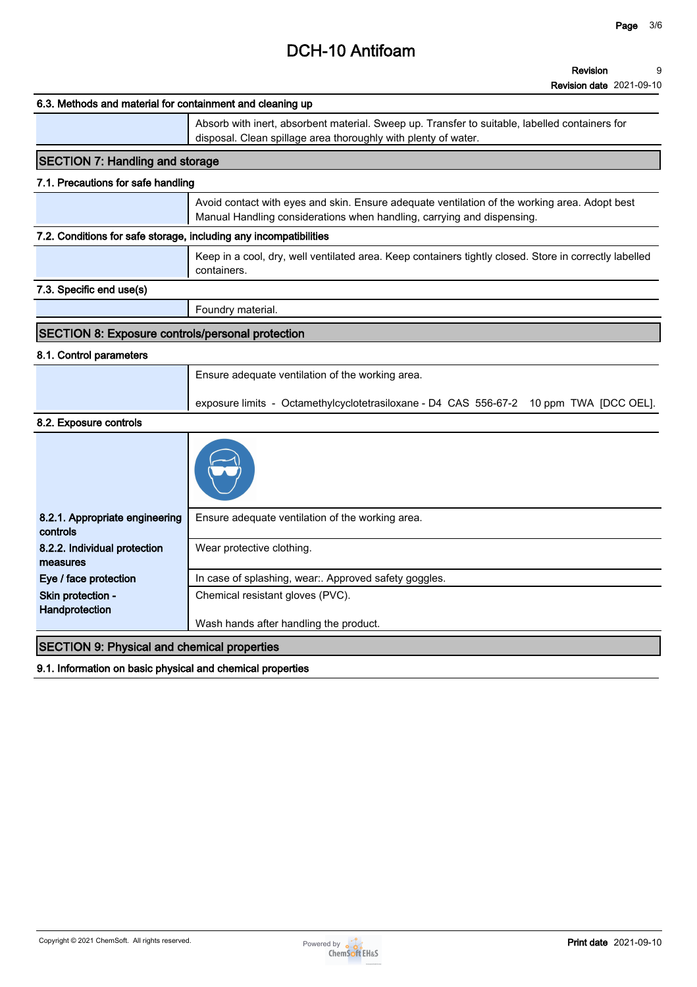# **DCH-10 Antifoam**

| Absorb with inert, absorbent material. Sweep up. Transfer to suitable, labelled containers for<br>disposal. Clean spillage area thoroughly with plenty of water.<br><b>SECTION 7: Handling and storage</b><br>Avoid contact with eyes and skin. Ensure adequate ventilation of the working area. Adopt best<br>Manual Handling considerations when handling, carrying and dispensing.<br>containers.<br>Foundry material.<br><b>SECTION 8: Exposure controls/personal protection</b><br>Ensure adequate ventilation of the working area.<br>8.2.1. Appropriate engineering<br>Ensure adequate ventilation of the working area.<br>controls<br>8.2.2. Individual protection<br>Wear protective clothing.<br>measures<br>Eye / face protection<br>In case of splashing, wear:. Approved safety goggles.<br>Skin protection -<br>Chemical resistant gloves (PVC).<br>Handprotection | Keep in a cool, dry, well ventilated area. Keep containers tightly closed. Store in correctly labelled<br>exposure limits - Octamethylcyclotetrasiloxane - D4 CAS 556-67-2 10 ppm TWA [DCC OEL].<br>Wash hands after handling the product.<br><b>SECTION 9: Physical and chemical properties</b> | 6.3. Methods and material for containment and cleaning up |  |
|----------------------------------------------------------------------------------------------------------------------------------------------------------------------------------------------------------------------------------------------------------------------------------------------------------------------------------------------------------------------------------------------------------------------------------------------------------------------------------------------------------------------------------------------------------------------------------------------------------------------------------------------------------------------------------------------------------------------------------------------------------------------------------------------------------------------------------------------------------------------------------|--------------------------------------------------------------------------------------------------------------------------------------------------------------------------------------------------------------------------------------------------------------------------------------------------|-----------------------------------------------------------|--|
| 7.1. Precautions for safe handling<br>7.2. Conditions for safe storage, including any incompatibilities<br>7.3. Specific end use(s)<br>8.1. Control parameters<br>8.2. Exposure controls                                                                                                                                                                                                                                                                                                                                                                                                                                                                                                                                                                                                                                                                                         |                                                                                                                                                                                                                                                                                                  |                                                           |  |
|                                                                                                                                                                                                                                                                                                                                                                                                                                                                                                                                                                                                                                                                                                                                                                                                                                                                                  |                                                                                                                                                                                                                                                                                                  |                                                           |  |
|                                                                                                                                                                                                                                                                                                                                                                                                                                                                                                                                                                                                                                                                                                                                                                                                                                                                                  |                                                                                                                                                                                                                                                                                                  |                                                           |  |
|                                                                                                                                                                                                                                                                                                                                                                                                                                                                                                                                                                                                                                                                                                                                                                                                                                                                                  |                                                                                                                                                                                                                                                                                                  |                                                           |  |
|                                                                                                                                                                                                                                                                                                                                                                                                                                                                                                                                                                                                                                                                                                                                                                                                                                                                                  |                                                                                                                                                                                                                                                                                                  |                                                           |  |
|                                                                                                                                                                                                                                                                                                                                                                                                                                                                                                                                                                                                                                                                                                                                                                                                                                                                                  |                                                                                                                                                                                                                                                                                                  |                                                           |  |
|                                                                                                                                                                                                                                                                                                                                                                                                                                                                                                                                                                                                                                                                                                                                                                                                                                                                                  |                                                                                                                                                                                                                                                                                                  |                                                           |  |
|                                                                                                                                                                                                                                                                                                                                                                                                                                                                                                                                                                                                                                                                                                                                                                                                                                                                                  |                                                                                                                                                                                                                                                                                                  |                                                           |  |
|                                                                                                                                                                                                                                                                                                                                                                                                                                                                                                                                                                                                                                                                                                                                                                                                                                                                                  |                                                                                                                                                                                                                                                                                                  |                                                           |  |
|                                                                                                                                                                                                                                                                                                                                                                                                                                                                                                                                                                                                                                                                                                                                                                                                                                                                                  |                                                                                                                                                                                                                                                                                                  |                                                           |  |
|                                                                                                                                                                                                                                                                                                                                                                                                                                                                                                                                                                                                                                                                                                                                                                                                                                                                                  |                                                                                                                                                                                                                                                                                                  |                                                           |  |
|                                                                                                                                                                                                                                                                                                                                                                                                                                                                                                                                                                                                                                                                                                                                                                                                                                                                                  |                                                                                                                                                                                                                                                                                                  |                                                           |  |
|                                                                                                                                                                                                                                                                                                                                                                                                                                                                                                                                                                                                                                                                                                                                                                                                                                                                                  |                                                                                                                                                                                                                                                                                                  |                                                           |  |
|                                                                                                                                                                                                                                                                                                                                                                                                                                                                                                                                                                                                                                                                                                                                                                                                                                                                                  |                                                                                                                                                                                                                                                                                                  |                                                           |  |
|                                                                                                                                                                                                                                                                                                                                                                                                                                                                                                                                                                                                                                                                                                                                                                                                                                                                                  |                                                                                                                                                                                                                                                                                                  |                                                           |  |
|                                                                                                                                                                                                                                                                                                                                                                                                                                                                                                                                                                                                                                                                                                                                                                                                                                                                                  |                                                                                                                                                                                                                                                                                                  |                                                           |  |
|                                                                                                                                                                                                                                                                                                                                                                                                                                                                                                                                                                                                                                                                                                                                                                                                                                                                                  |                                                                                                                                                                                                                                                                                                  |                                                           |  |
|                                                                                                                                                                                                                                                                                                                                                                                                                                                                                                                                                                                                                                                                                                                                                                                                                                                                                  |                                                                                                                                                                                                                                                                                                  |                                                           |  |
|                                                                                                                                                                                                                                                                                                                                                                                                                                                                                                                                                                                                                                                                                                                                                                                                                                                                                  |                                                                                                                                                                                                                                                                                                  |                                                           |  |

**9.1. Information on basic physical and chemical properties**

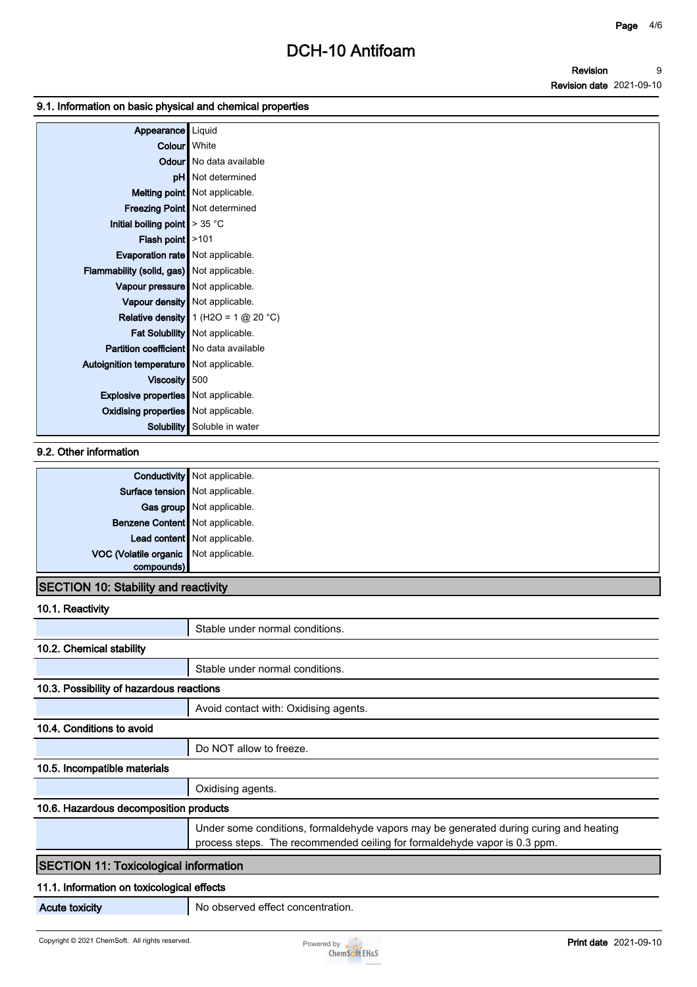### **9.1. Information on basic physical and chemical properties**

| Appearance                                     | Liquid                                |
|------------------------------------------------|---------------------------------------|
| Colour White                                   |                                       |
|                                                | <b>Odour</b> No data available        |
|                                                | pH   Not determined                   |
|                                                | Melting point Not applicable.         |
|                                                | Freezing Point Not determined         |
| Initial boiling point $\geq 35$ °C             |                                       |
| Flash point $\vert$ >101                       |                                       |
| <b>Evaporation rate</b> Not applicable.        |                                       |
| Flammability (solid, gas) Not applicable.      |                                       |
| Vapour pressure Not applicable.                |                                       |
|                                                | Vapour density   Not applicable.      |
|                                                | Relative density $1(H2O = 1 @ 20 °C)$ |
|                                                | Fat Solubility   Not applicable.      |
| <b>Partition coefficient</b> No data available |                                       |
| Autoignition temperature   Not applicable.     |                                       |
| Viscosity 500                                  |                                       |
| <b>Explosive properties</b> Not applicable.    |                                       |
| <b>Oxidising properties</b> Not applicable.    |                                       |
| Solubility                                     | Soluble in water                      |

### **9.2. Other information**

|                                       | <b>Conductivity</b> Not applicable. |
|---------------------------------------|-------------------------------------|
| Surface tension Not applicable.       |                                     |
|                                       | Gas group Not applicable.           |
| Benzene Content   Not applicable.     |                                     |
|                                       | Lead content Not applicable.        |
| VOC (Volatile organic Not applicable. |                                     |
| compounds)                            |                                     |

### **SECTION 10: Stability and reactivity**

**10.1. Reactivity**

|                                              | Stable under normal conditions.                                                                                                                                    |
|----------------------------------------------|--------------------------------------------------------------------------------------------------------------------------------------------------------------------|
| 10.2. Chemical stability                     |                                                                                                                                                                    |
|                                              | Stable under normal conditions.                                                                                                                                    |
| 10.3. Possibility of hazardous reactions     |                                                                                                                                                                    |
|                                              | Avoid contact with: Oxidising agents.                                                                                                                              |
| 10.4. Conditions to avoid                    |                                                                                                                                                                    |
|                                              | Do NOT allow to freeze.                                                                                                                                            |
| 10.5. Incompatible materials                 |                                                                                                                                                                    |
|                                              | Oxidising agents.                                                                                                                                                  |
| 10.6. Hazardous decomposition products       |                                                                                                                                                                    |
|                                              | Under some conditions, formaldehyde vapors may be generated during curing and heating<br>process steps. The recommended ceiling for formaldehyde vapor is 0.3 ppm. |
| <b>SECTION 11: Toxicological information</b> |                                                                                                                                                                    |
| 11.1. Information on toxicological effects   |                                                                                                                                                                    |
| <b>Acute toxicity</b>                        | No observed effect concentration.                                                                                                                                  |

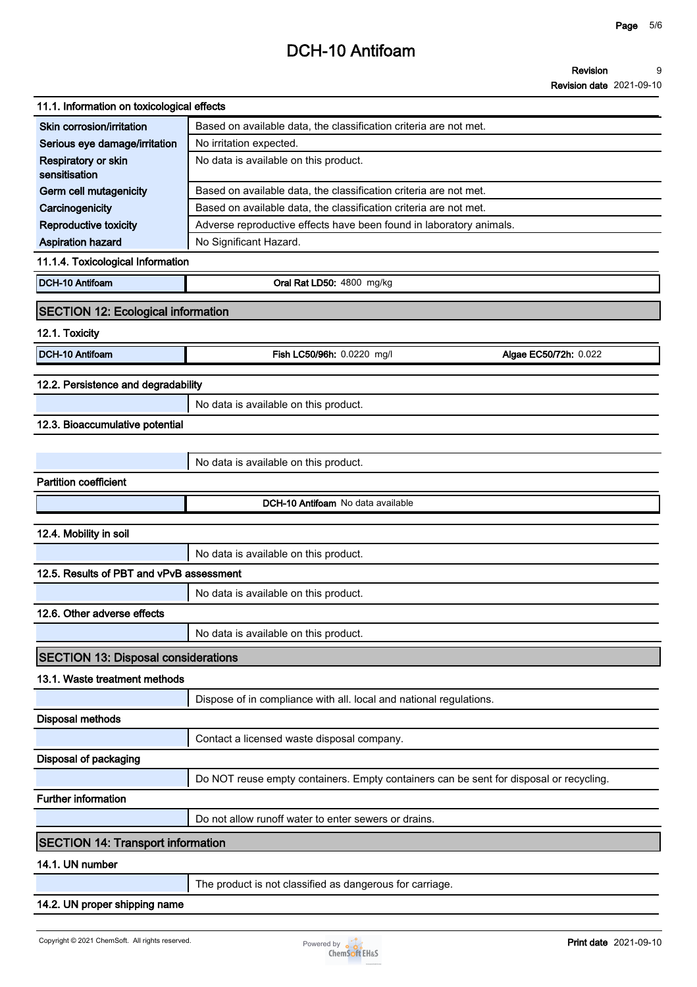#### **Page 5/6**

## **DCH-10 Antifoam**

| 11.1. Information on toxicological effects |                                                                                        |                       |
|--------------------------------------------|----------------------------------------------------------------------------------------|-----------------------|
| Skin corrosion/irritation                  | Based on available data, the classification criteria are not met.                      |                       |
| Serious eye damage/irritation              | No irritation expected.                                                                |                       |
| Respiratory or skin<br>sensitisation       | No data is available on this product.                                                  |                       |
| Germ cell mutagenicity                     | Based on available data, the classification criteria are not met.                      |                       |
| Carcinogenicity                            | Based on available data, the classification criteria are not met.                      |                       |
| <b>Reproductive toxicity</b>               | Adverse reproductive effects have been found in laboratory animals.                    |                       |
| Aspiration hazard                          | No Significant Hazard.                                                                 |                       |
| 11.1.4. Toxicological Information          |                                                                                        |                       |
| DCH-10 Antifoam                            | Oral Rat LD50: 4800 mg/kg                                                              |                       |
| <b>SECTION 12: Ecological information</b>  |                                                                                        |                       |
| 12.1. Toxicity                             |                                                                                        |                       |
| DCH-10 Antifoam                            | Fish LC50/96h: 0.0220 mg/l                                                             | Algae EC50/72h: 0.022 |
|                                            |                                                                                        |                       |
| 12.2. Persistence and degradability        |                                                                                        |                       |
|                                            | No data is available on this product.                                                  |                       |
| 12.3. Bioaccumulative potential            |                                                                                        |                       |
|                                            |                                                                                        |                       |
|                                            | No data is available on this product.                                                  |                       |
| <b>Partition coefficient</b>               |                                                                                        |                       |
|                                            | DCH-10 Antifoam No data available                                                      |                       |
|                                            |                                                                                        |                       |
| 12.4. Mobility in soil                     |                                                                                        |                       |
|                                            | No data is available on this product.                                                  |                       |
| 12.5. Results of PBT and vPvB assessment   |                                                                                        |                       |
|                                            | No data is available on this product.                                                  |                       |
| 12.6. Other adverse effects                |                                                                                        |                       |
|                                            | No data is available on this product.                                                  |                       |
| <b>SECTION 13: Disposal considerations</b> |                                                                                        |                       |
| 13.1. Waste treatment methods              |                                                                                        |                       |
|                                            | Dispose of in compliance with all. local and national regulations.                     |                       |
| <b>Disposal methods</b>                    |                                                                                        |                       |
|                                            | Contact a licensed waste disposal company.                                             |                       |
| Disposal of packaging                      |                                                                                        |                       |
|                                            | Do NOT reuse empty containers. Empty containers can be sent for disposal or recycling. |                       |
| <b>Further information</b>                 |                                                                                        |                       |
|                                            | Do not allow runoff water to enter sewers or drains.                                   |                       |
|                                            |                                                                                        |                       |
| <b>SECTION 14: Transport information</b>   |                                                                                        |                       |
| 14.1. UN number                            |                                                                                        |                       |
|                                            | The product is not classified as dangerous for carriage.                               |                       |
| 14.2. UN proper shipping name              |                                                                                        |                       |